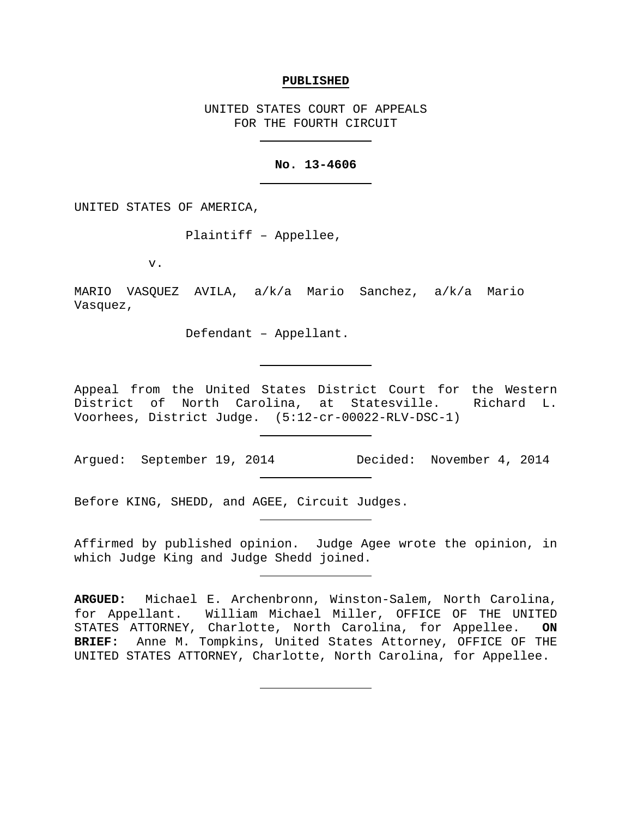#### **PUBLISHED**

UNITED STATES COURT OF APPEALS FOR THE FOURTH CIRCUIT

### **No. 13-4606**

UNITED STATES OF AMERICA,

Plaintiff – Appellee,

v.

MARIO VASQUEZ AVILA, a/k/a Mario Sanchez, a/k/a Mario Vasquez,

Defendant – Appellant.

Appeal from the United States District Court for the Western District of North Carolina, at Statesville. Richard L. Voorhees, District Judge. (5:12-cr-00022-RLV-DSC-1)

Argued: September 19, 2014 Decided: November 4, 2014

Before KING, SHEDD, and AGEE, Circuit Judges.

Affirmed by published opinion. Judge Agee wrote the opinion, in which Judge King and Judge Shedd joined.

**ARGUED:** Michael E. Archenbronn, Winston-Salem, North Carolina, for Appellant. William Michael Miller, OFFICE OF THE UNITED STATES ATTORNEY, Charlotte, North Carolina, for Appellee. **ON BRIEF:** Anne M. Tompkins, United States Attorney, OFFICE OF THE UNITED STATES ATTORNEY, Charlotte, North Carolina, for Appellee.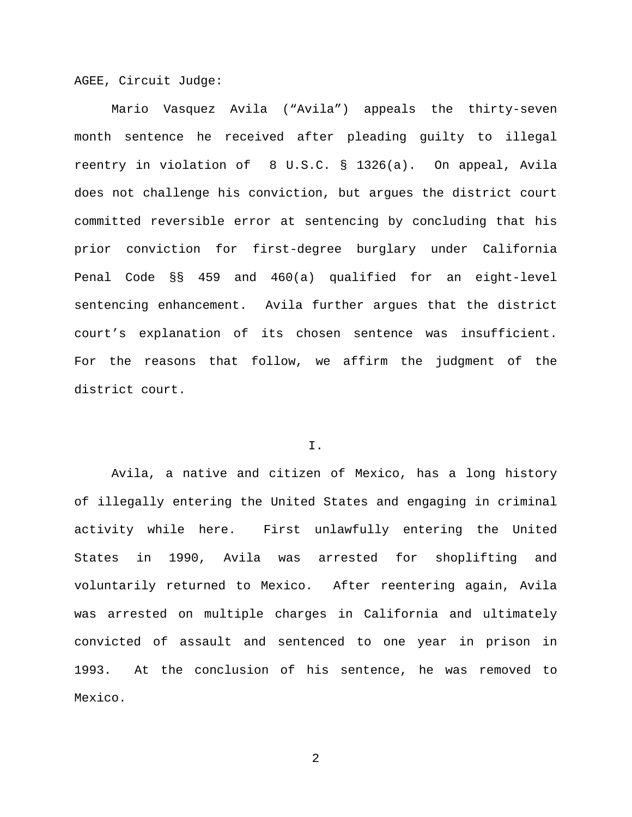AGEE, Circuit Judge:

Mario Vasquez Avila ("Avila") appeals the thirty-seven month sentence he received after pleading guilty to illegal reentry in violation of 8 U.S.C. § 1326(a). On appeal, Avila does not challenge his conviction, but argues the district court committed reversible error at sentencing by concluding that his prior conviction for first-degree burglary under California Penal Code §§ 459 and 460(a) qualified for an eight-level sentencing enhancement. Avila further argues that the district court's explanation of its chosen sentence was insufficient. For the reasons that follow, we affirm the judgment of the district court.

# I.

Avila, a native and citizen of Mexico, has a long history of illegally entering the United States and engaging in criminal activity while here. First unlawfully entering the United States in 1990, Avila was arrested for shoplifting and voluntarily returned to Mexico. After reentering again, Avila was arrested on multiple charges in California and ultimately convicted of assault and sentenced to one year in prison in 1993. At the conclusion of his sentence, he was removed to Mexico.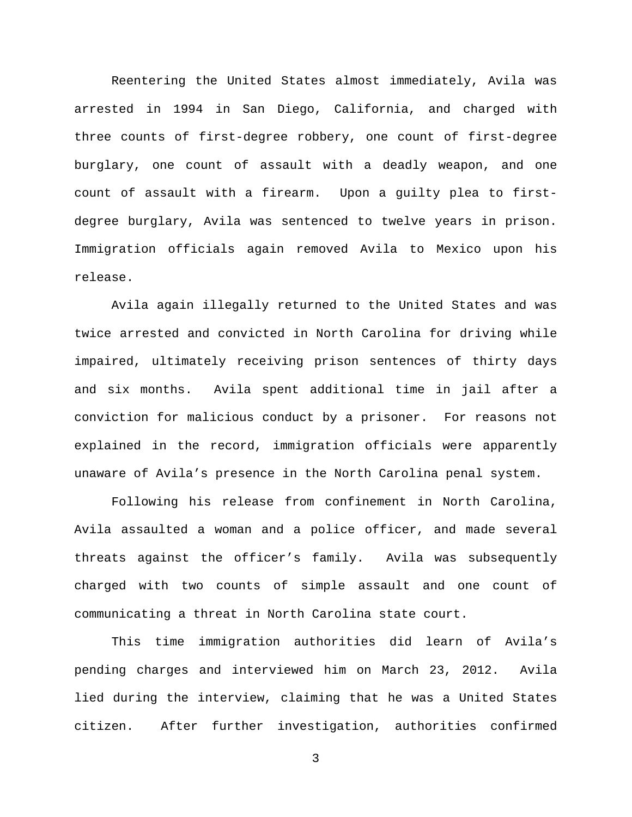Reentering the United States almost immediately, Avila was arrested in 1994 in San Diego, California, and charged with three counts of first-degree robbery, one count of first-degree burglary, one count of assault with a deadly weapon, and one count of assault with a firearm. Upon a guilty plea to firstdegree burglary, Avila was sentenced to twelve years in prison. Immigration officials again removed Avila to Mexico upon his release.

Avila again illegally returned to the United States and was twice arrested and convicted in North Carolina for driving while impaired, ultimately receiving prison sentences of thirty days and six months. Avila spent additional time in jail after a conviction for malicious conduct by a prisoner. For reasons not explained in the record, immigration officials were apparently unaware of Avila's presence in the North Carolina penal system.

Following his release from confinement in North Carolina, Avila assaulted a woman and a police officer, and made several threats against the officer's family. Avila was subsequently charged with two counts of simple assault and one count of communicating a threat in North Carolina state court.

This time immigration authorities did learn of Avila's pending charges and interviewed him on March 23, 2012. Avila lied during the interview, claiming that he was a United States citizen. After further investigation, authorities confirmed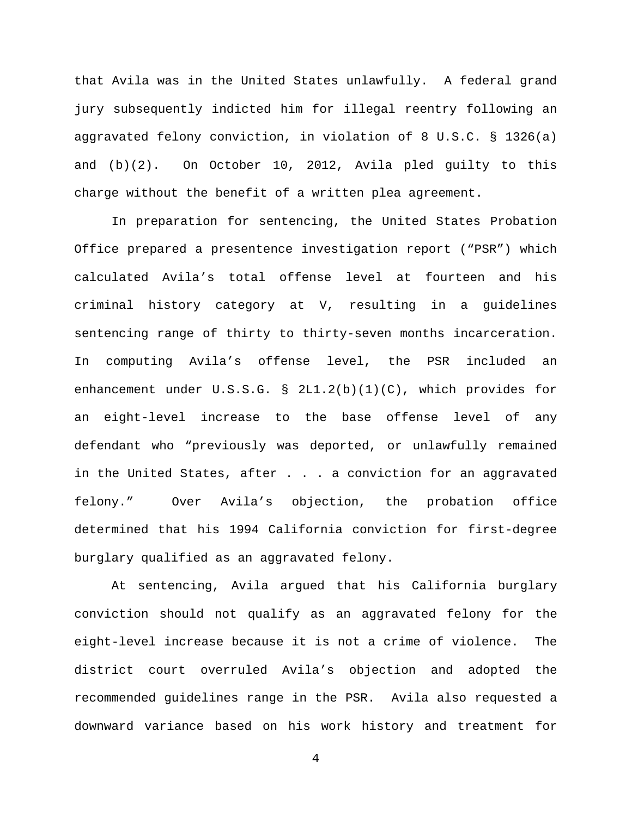that Avila was in the United States unlawfully. A federal grand jury subsequently indicted him for illegal reentry following an aggravated felony conviction, in violation of 8 U.S.C. § 1326(a) and (b)(2). On October 10, 2012, Avila pled guilty to this charge without the benefit of a written plea agreement.

In preparation for sentencing, the United States Probation Office prepared a presentence investigation report ("PSR") which calculated Avila's total offense level at fourteen and his criminal history category at V, resulting in a guidelines sentencing range of thirty to thirty-seven months incarceration. In computing Avila's offense level, the PSR included an enhancement under U.S.S.G. § 2L1.2(b)(1)(C), which provides for an eight-level increase to the base offense level of any defendant who "previously was deported, or unlawfully remained in the United States, after . . . a conviction for an aggravated felony." Over Avila's objection, the probation office determined that his 1994 California conviction for first-degree burglary qualified as an aggravated felony.

At sentencing, Avila argued that his California burglary conviction should not qualify as an aggravated felony for the eight-level increase because it is not a crime of violence. The district court overruled Avila's objection and adopted the recommended guidelines range in the PSR. Avila also requested a downward variance based on his work history and treatment for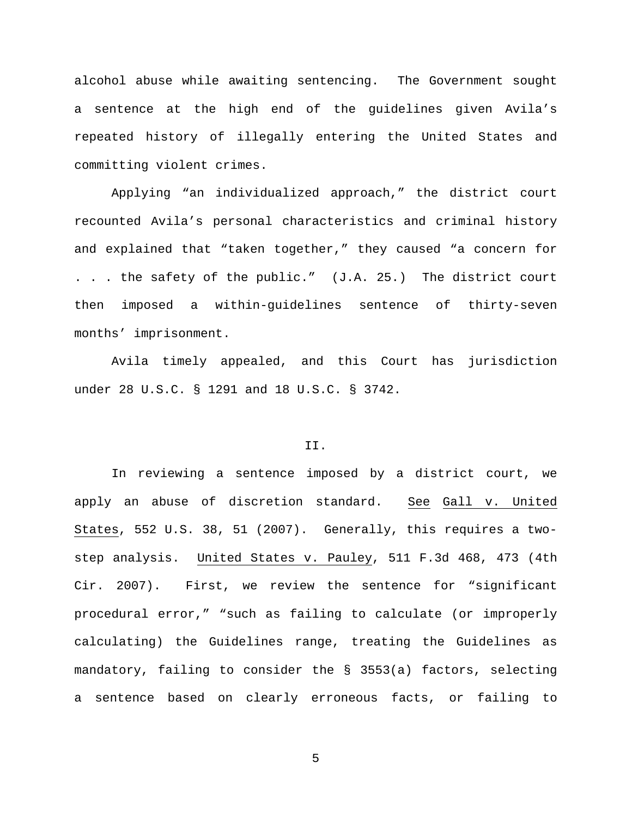alcohol abuse while awaiting sentencing. The Government sought a sentence at the high end of the guidelines given Avila's repeated history of illegally entering the United States and committing violent crimes.

Applying "an individualized approach," the district court recounted Avila's personal characteristics and criminal history and explained that "taken together," they caused "a concern for . . . the safety of the public." (J.A. 25.) The district court then imposed a within-guidelines sentence of thirty-seven months' imprisonment.

Avila timely appealed, and this Court has jurisdiction under 28 U.S.C. § 1291 and 18 U.S.C. § 3742.

## II.

In reviewing a sentence imposed by a district court, we apply an abuse of discretion standard. See Gall v. United States, 552 U.S. 38, 51 (2007). Generally, this requires a twostep analysis. United States v. Pauley, 511 F.3d 468, 473 (4th Cir. 2007). First, we review the sentence for "significant procedural error," "such as failing to calculate (or improperly calculating) the Guidelines range, treating the Guidelines as mandatory, failing to consider the § 3553(a) factors, selecting a sentence based on clearly erroneous facts, or failing to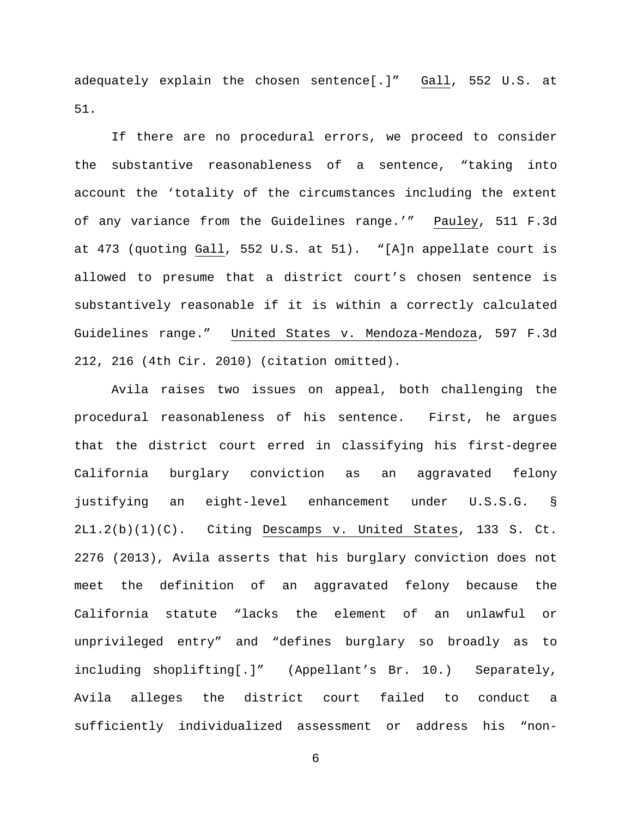adequately explain the chosen sentence[.]" Gall, 552 U.S. at 51.

If there are no procedural errors, we proceed to consider the substantive reasonableness of a sentence, "taking into account the 'totality of the circumstances including the extent of any variance from the Guidelines range.'" Pauley, 511 F.3d at 473 (quoting Gall, 552 U.S. at 51). "[A]n appellate court is allowed to presume that a district court's chosen sentence is substantively reasonable if it is within a correctly calculated Guidelines range." United States v. Mendoza-Mendoza, 597 F.3d 212, 216 (4th Cir. 2010) (citation omitted).

Avila raises two issues on appeal, both challenging the procedural reasonableness of his sentence. First, he argues that the district court erred in classifying his first-degree California burglary conviction as an aggravated felony justifying an eight-level enhancement under U.S.S.G. § 2L1.2(b)(1)(C). Citing Descamps v. United States, 133 S. Ct. 2276 (2013), Avila asserts that his burglary conviction does not meet the definition of an aggravated felony because the California statute "lacks the element of an unlawful or unprivileged entry" and "defines burglary so broadly as to including shoplifting[.]" (Appellant's Br. 10.) Separately, Avila alleges the district court failed to conduct a sufficiently individualized assessment or address his "non-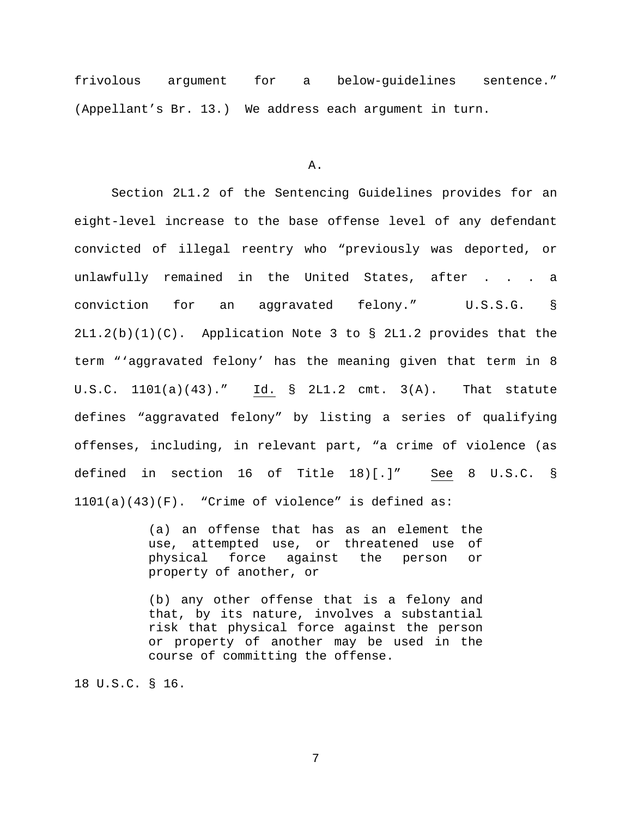frivolous argument for a below-guidelines sentence." (Appellant's Br. 13.) We address each argument in turn.

A.

Section 2L1.2 of the Sentencing Guidelines provides for an eight-level increase to the base offense level of any defendant convicted of illegal reentry who "previously was deported, or unlawfully remained in the United States, after . . . a conviction for an aggravated felony." U.S.S.G. § 2L1.2(b)(1)(C). Application Note 3 to § 2L1.2 provides that the term "'aggravated felony' has the meaning given that term in 8 U.S.C. 1101(a)(43)." Id. § 2L1.2 cmt. 3(A). That statute defines "aggravated felony" by listing a series of qualifying offenses, including, in relevant part, "a crime of violence (as defined in section 16 of Title 18)[.]" See 8 U.S.C. §  $1101(a)(43)(F)$ . "Crime of violence" is defined as:

> (a) an offense that has as an element the use, attempted use, or threatened use of<br>physical force against the person or force against the person or property of another, or

> (b) any other offense that is a felony and that, by its nature, involves a substantial risk that physical force against the person or property of another may be used in the course of committing the offense.

18 U.S.C. § 16.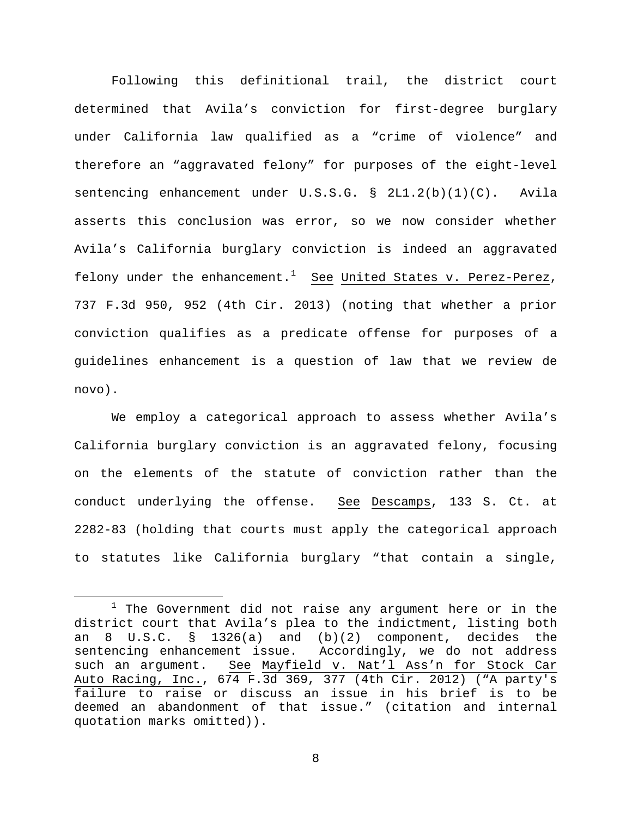Following this definitional trail, the district court determined that Avila's conviction for first-degree burglary under California law qualified as a "crime of violence" and therefore an "aggravated felony" for purposes of the eight-level sentencing enhancement under U.S.S.G. § 2L1.2(b)(1)(C). Avila asserts this conclusion was error, so we now consider whether Avila's California burglary conviction is indeed an aggravated felony under the enhancement.<sup>[1](#page-7-0)</sup> See United States v. Perez-Perez, 737 F.3d 950, 952 (4th Cir. 2013) (noting that whether a prior conviction qualifies as a predicate offense for purposes of a guidelines enhancement is a question of law that we review de novo).

We employ a categorical approach to assess whether Avila's California burglary conviction is an aggravated felony, focusing on the elements of the statute of conviction rather than the conduct underlying the offense. See Descamps, 133 S. Ct. at 2282-83 (holding that courts must apply the categorical approach to statutes like California burglary "that contain a single,

<span id="page-7-0"></span> $1$  The Government did not raise any argument here or in the district court that Avila's plea to the indictment, listing both an 8 U.S.C. § 1326(a) and (b)(2) component, decides the sentencing enhancement issue. Accordingly, we do not address<br>such an arqument. See Mayfield v. Nat'l Ass'n for Stock Car See Mayfield v. Nat'l Ass'n for Stock Car Auto Racing, Inc., 674 F.3d 369, 377 (4th Cir. 2012) ("A party's failure to raise or discuss an issue in his brief is to be deemed an abandonment of that issue." (citation and internal quotation marks omitted)).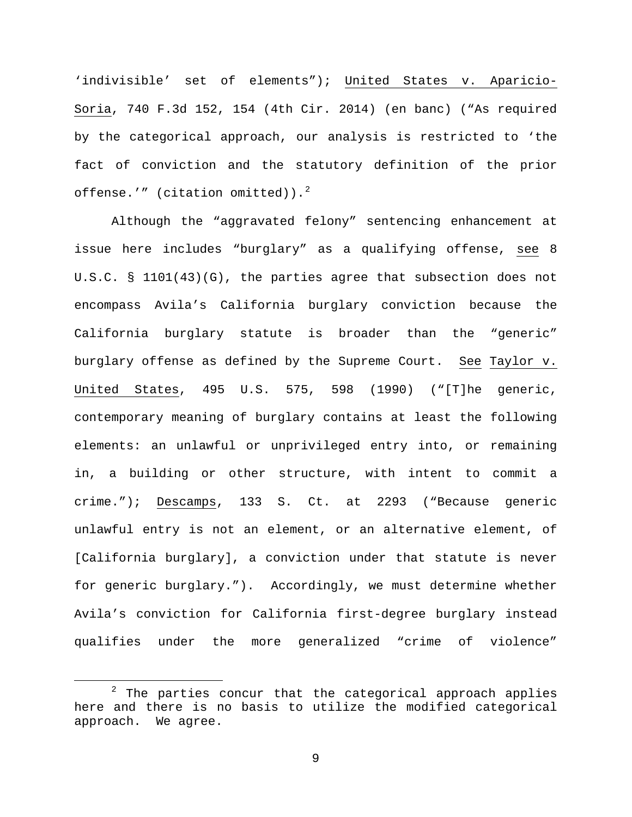'indivisible' set of elements"); United States v. Aparicio-Soria, 740 F.3d 152, 154 (4th Cir. 2014) (en banc) ("As required by the categorical approach, our analysis is restricted to 'the fact of conviction and the statutory definition of the prior offense.'" (citation omitted)). $^{2}$  $^{2}$  $^{2}$ 

Although the "aggravated felony" sentencing enhancement at issue here includes "burglary" as a qualifying offense, see 8 U.S.C. § 1101(43)(G), the parties agree that subsection does not encompass Avila's California burglary conviction because the California burglary statute is broader than the "generic" burglary offense as defined by the Supreme Court. See Taylor v. United States, 495 U.S. 575, 598 (1990) ("[T]he generic, contemporary meaning of burglary contains at least the following elements: an unlawful or unprivileged entry into, or remaining in, a building or other structure, with intent to commit a crime."); Descamps, 133 S. Ct. at 2293 ("Because generic unlawful entry is not an element, or an alternative element, of [California burglary], a conviction under that statute is never for generic burglary."). Accordingly, we must determine whether Avila's conviction for California first-degree burglary instead qualifies under the more generalized "crime of violence"

<span id="page-8-0"></span> $2$  The parties concur that the categorical approach applies here and there is no basis to utilize the modified categorical approach. We agree.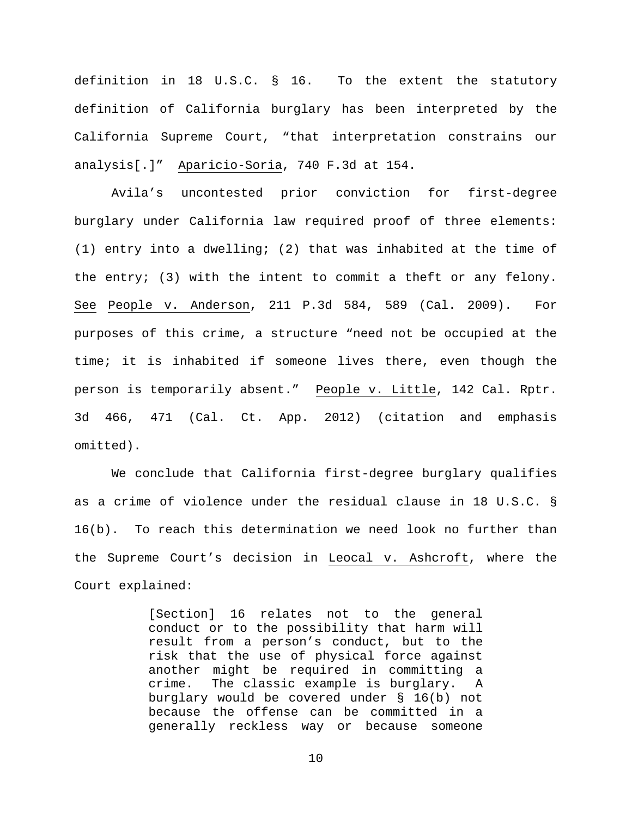definition in 18 U.S.C. § 16. To the extent the statutory definition of California burglary has been interpreted by the California Supreme Court, "that interpretation constrains our analysis[.]" Aparicio-Soria, 740 F.3d at 154.

Avila's uncontested prior conviction for first-degree burglary under California law required proof of three elements: (1) entry into a dwelling; (2) that was inhabited at the time of the entry; (3) with the intent to commit a theft or any felony. See People v. Anderson, 211 P.3d 584, 589 (Cal. 2009). For purposes of this crime, a structure "need not be occupied at the time; it is inhabited if someone lives there, even though the person is temporarily absent." People v. Little, 142 Cal. Rptr. 3d 466, 471 (Cal. Ct. App. 2012) (citation and emphasis omitted).

We conclude that California first-degree burglary qualifies as a crime of violence under the residual clause in 18 U.S.C. § 16(b). To reach this determination we need look no further than the Supreme Court's decision in Leocal v. Ashcroft, where the Court explained:

> [Section] 16 relates not to the general conduct or to the possibility that harm will result from a person's conduct, but to the risk that the use of physical force against another might be required in committing a crime. The classic example is burglary. A burglary would be covered under § 16(b) not because the offense can be committed in a generally reckless way or because someone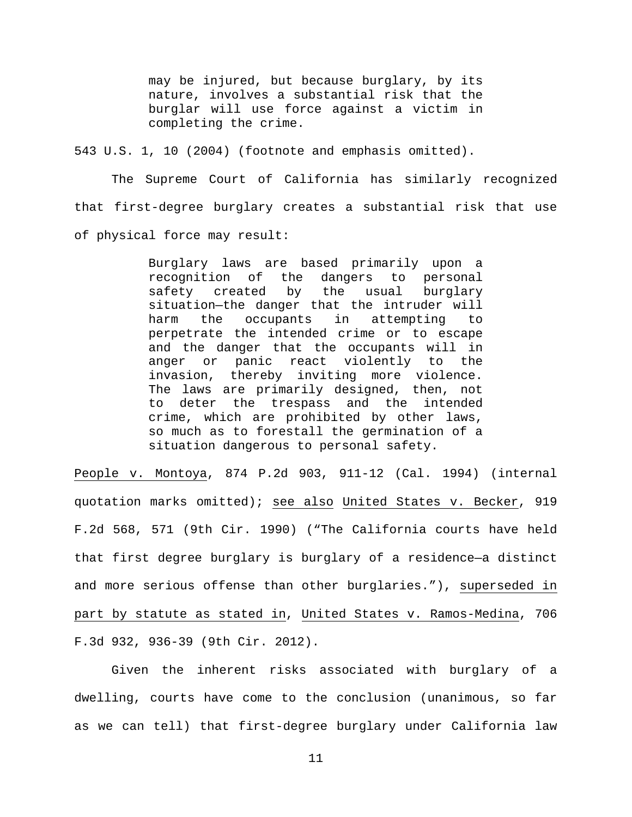may be injured, but because burglary, by its nature, involves a substantial risk that the burglar will use force against a victim in completing the crime.

543 U.S. 1, 10 (2004) (footnote and emphasis omitted).

The Supreme Court of California has similarly recognized that first-degree burglary creates a substantial risk that use of physical force may result:

> Burglary laws are based primarily upon a recognition of the dangers to personal safety created by the usual burglary situation-the danger that the intruder will<br>harm the occupants in attempting to harm the occupants in attempting to perpetrate the intended crime or to escape and the danger that the occupants will in anger or panic react violently to the invasion, thereby inviting more violence. The laws are primarily designed, then, not to deter the trespass and the intended crime, which are prohibited by other laws, so much as to forestall the germination of a situation dangerous to personal safety.

People v. Montoya, 874 P.2d 903, 911-12 (Cal. 1994) (internal quotation marks omitted); see also United States v. Becker, 919 F.2d 568, 571 (9th Cir. 1990) ("The California courts have held that first degree burglary is burglary of a residence—a distinct and more serious offense than other burglaries."), superseded in part by statute as stated in, United States v. Ramos-Medina, 706 F.3d 932, 936-39 (9th Cir. 2012).

Given the inherent risks associated with burglary of a dwelling, courts have come to the conclusion (unanimous, so far as we can tell) that first-degree burglary under California law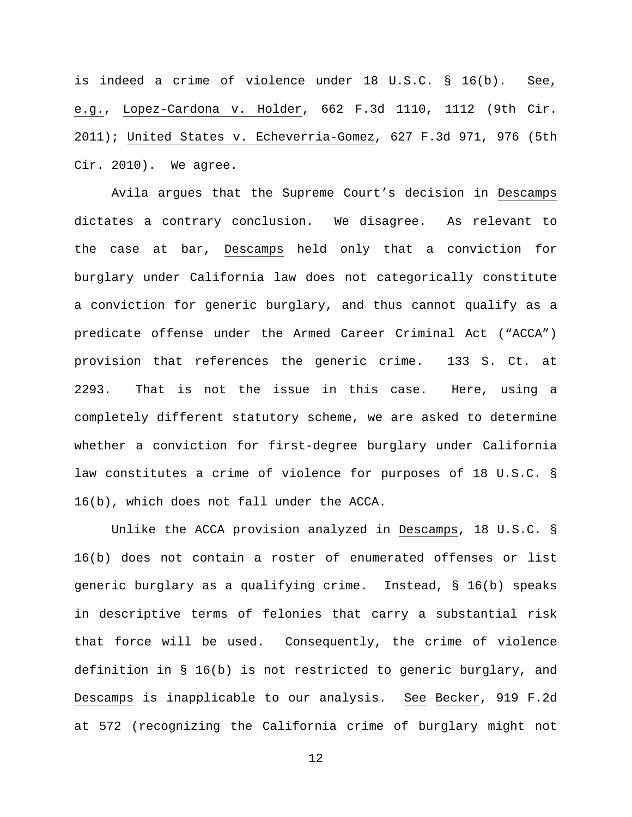is indeed a crime of violence under 18 U.S.C. § 16(b). See, e.g., Lopez-Cardona v. Holder, 662 F.3d 1110, 1112 (9th Cir. 2011); United States v. Echeverria-Gomez, 627 F.3d 971, 976 (5th Cir. 2010). We agree.

Avila argues that the Supreme Court's decision in Descamps dictates a contrary conclusion. We disagree. As relevant to the case at bar, Descamps held only that a conviction for burglary under California law does not categorically constitute a conviction for generic burglary, and thus cannot qualify as a predicate offense under the Armed Career Criminal Act ("ACCA") provision that references the generic crime. 133 S. Ct. at 2293. That is not the issue in this case. Here, using a completely different statutory scheme, we are asked to determine whether a conviction for first-degree burglary under California law constitutes a crime of violence for purposes of 18 U.S.C. § 16(b), which does not fall under the ACCA.

Unlike the ACCA provision analyzed in Descamps, 18 U.S.C. § 16(b) does not contain a roster of enumerated offenses or list generic burglary as a qualifying crime. Instead, § 16(b) speaks in descriptive terms of felonies that carry a substantial risk that force will be used. Consequently, the crime of violence definition in § 16(b) is not restricted to generic burglary, and Descamps is inapplicable to our analysis. See Becker, 919 F.2d at 572 (recognizing the California crime of burglary might not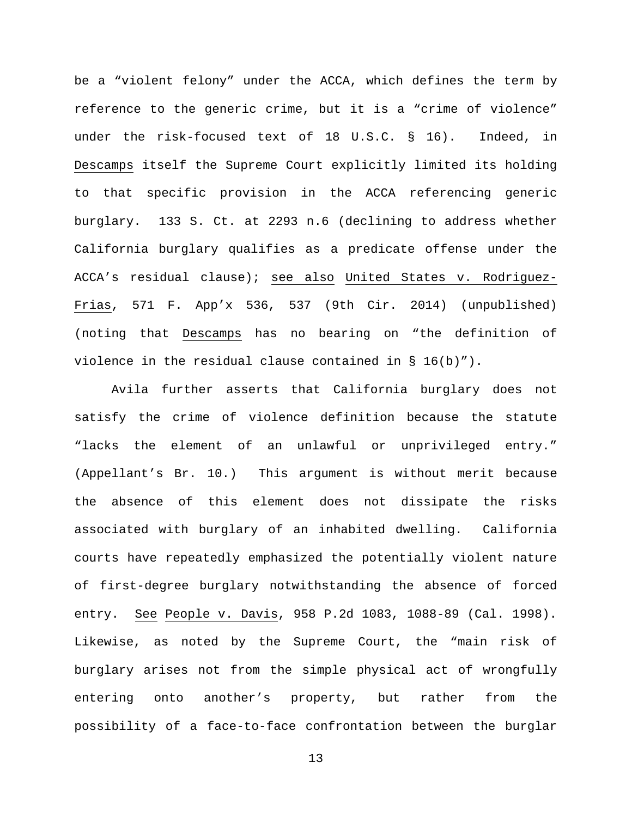be a "violent felony" under the ACCA, which defines the term by reference to the generic crime, but it is a "crime of violence" under the risk-focused text of 18 U.S.C. § 16). Indeed, in Descamps itself the Supreme Court explicitly limited its holding to that specific provision in the ACCA referencing generic burglary. 133 S. Ct. at 2293 n.6 (declining to address whether California burglary qualifies as a predicate offense under the ACCA's residual clause); see also United States v. Rodriguez-Frias, 571 F. App'x 536, 537 (9th Cir. 2014) (unpublished) (noting that Descamps has no bearing on "the definition of violence in the residual clause contained in § 16(b)").

Avila further asserts that California burglary does not satisfy the crime of violence definition because the statute "lacks the element of an unlawful or unprivileged entry." (Appellant's Br. 10.) This argument is without merit because the absence of this element does not dissipate the risks associated with burglary of an inhabited dwelling. California courts have repeatedly emphasized the potentially violent nature of first-degree burglary notwithstanding the absence of forced entry. See People v. Davis, 958 P.2d 1083, 1088-89 (Cal. 1998). Likewise, as noted by the Supreme Court, the "main risk of burglary arises not from the simple physical act of wrongfully entering onto another's property, but rather from the possibility of a face-to-face confrontation between the burglar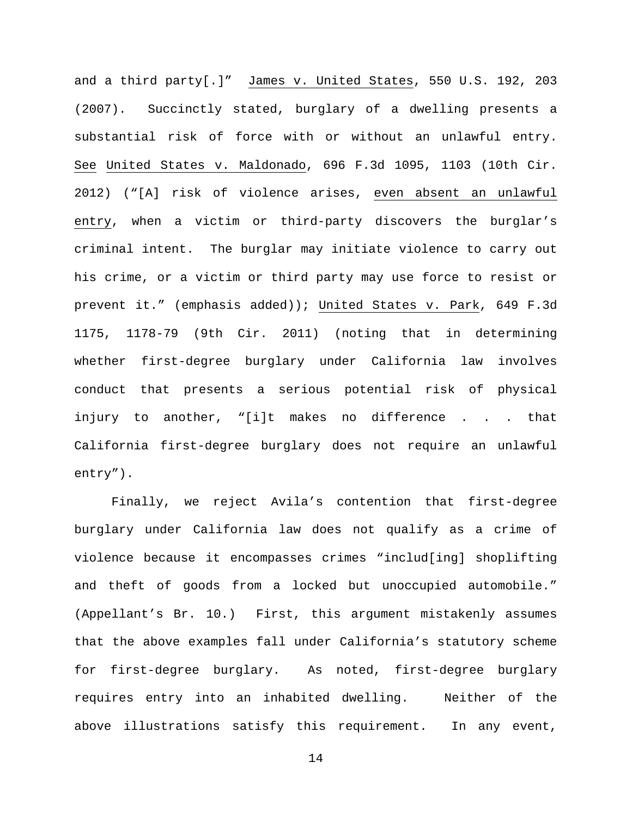and a third party[.]" James v. United States, 550 U.S. 192, 203 (2007). Succinctly stated, burglary of a dwelling presents a substantial risk of force with or without an unlawful entry. See United States v. Maldonado, 696 F.3d 1095, 1103 (10th Cir. 2012) ("[A] risk of violence arises, even absent an unlawful entry, when a victim or third-party discovers the burglar's criminal intent. The burglar may initiate violence to carry out his crime, or a victim or third party may use force to resist or prevent it." (emphasis added)); United States v. Park, 649 F.3d 1175, 1178-79 (9th Cir. 2011) (noting that in determining whether first-degree burglary under California law involves conduct that presents a serious potential risk of physical injury to another, "[i]t makes no difference . . . that California first-degree burglary does not require an unlawful entry").

Finally, we reject Avila's contention that first-degree burglary under California law does not qualify as a crime of violence because it encompasses crimes "includ[ing] shoplifting and theft of goods from a locked but unoccupied automobile." (Appellant's Br. 10.) First, this argument mistakenly assumes that the above examples fall under California's statutory scheme for first-degree burglary. As noted, first-degree burglary requires entry into an inhabited dwelling. Neither of the above illustrations satisfy this requirement. In any event,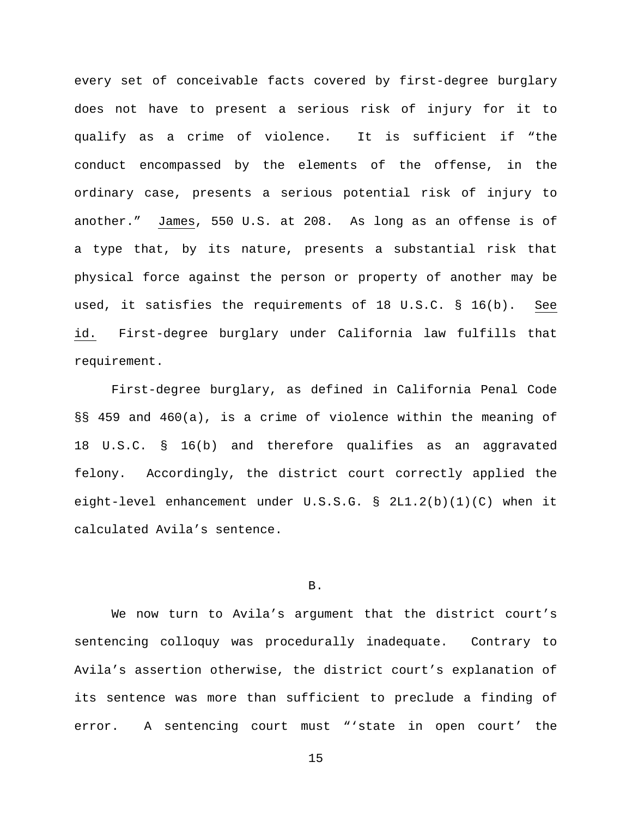every set of conceivable facts covered by first-degree burglary does not have to present a serious risk of injury for it to qualify as a crime of violence. It is sufficient if "the conduct encompassed by the elements of the offense, in the ordinary case, presents a serious potential risk of injury to another." James, 550 U.S. at 208. As long as an offense is of a type that, by its nature, presents a substantial risk that physical force against the person or property of another may be used, it satisfies the requirements of 18 U.S.C. § 16(b). See id. First-degree burglary under California law fulfills that requirement.

First-degree burglary, as defined in California Penal Code §§ 459 and 460(a), is a crime of violence within the meaning of 18 U.S.C. § 16(b) and therefore qualifies as an aggravated felony. Accordingly, the district court correctly applied the eight-level enhancement under U.S.S.G. § 2L1.2(b)(1)(C) when it calculated Avila's sentence.

### B.

We now turn to Avila's argument that the district court's sentencing colloquy was procedurally inadequate. Contrary to Avila's assertion otherwise, the district court's explanation of its sentence was more than sufficient to preclude a finding of error. A sentencing court must "'state in open court' the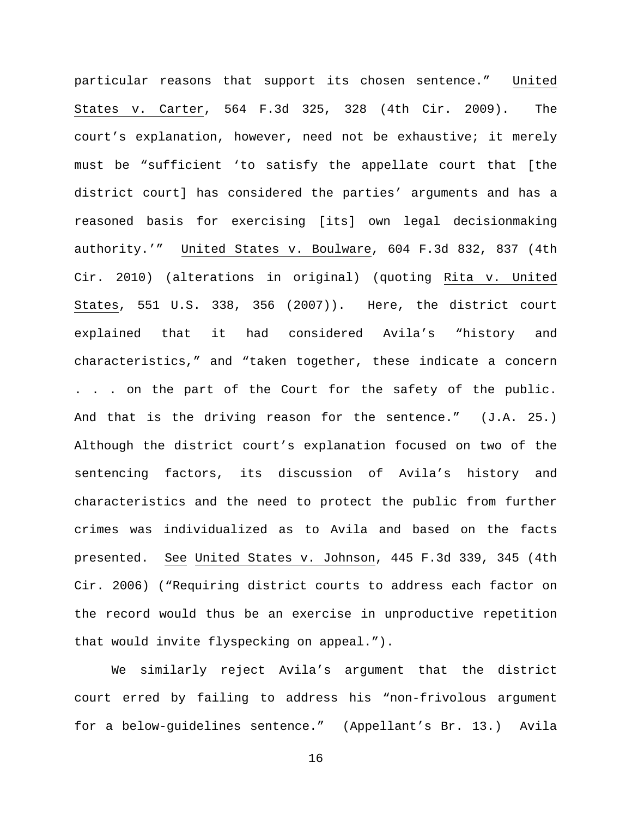particular reasons that support its chosen sentence." United States v. Carter, 564 F.3d 325, 328 (4th Cir. 2009). The court's explanation, however, need not be exhaustive; it merely must be "sufficient 'to satisfy the appellate court that [the district court] has considered the parties' arguments and has a reasoned basis for exercising [its] own legal decisionmaking authority.'" United States v. Boulware, 604 F.3d 832, 837 (4th Cir. 2010) (alterations in original) (quoting Rita v. United States, 551 U.S. 338, 356 (2007)). Here, the district court explained that it had considered Avila's "history and characteristics," and "taken together, these indicate a concern . . . on the part of the Court for the safety of the public. And that is the driving reason for the sentence." (J.A. 25.) Although the district court's explanation focused on two of the sentencing factors, its discussion of Avila's history and characteristics and the need to protect the public from further crimes was individualized as to Avila and based on the facts presented. See United States v. Johnson, 445 F.3d 339, 345 (4th Cir. 2006) ("Requiring district courts to address each factor on the record would thus be an exercise in unproductive repetition that would invite flyspecking on appeal.").

We similarly reject Avila's argument that the district court erred by failing to address his "non-frivolous argument for a below-guidelines sentence." (Appellant's Br. 13.) Avila